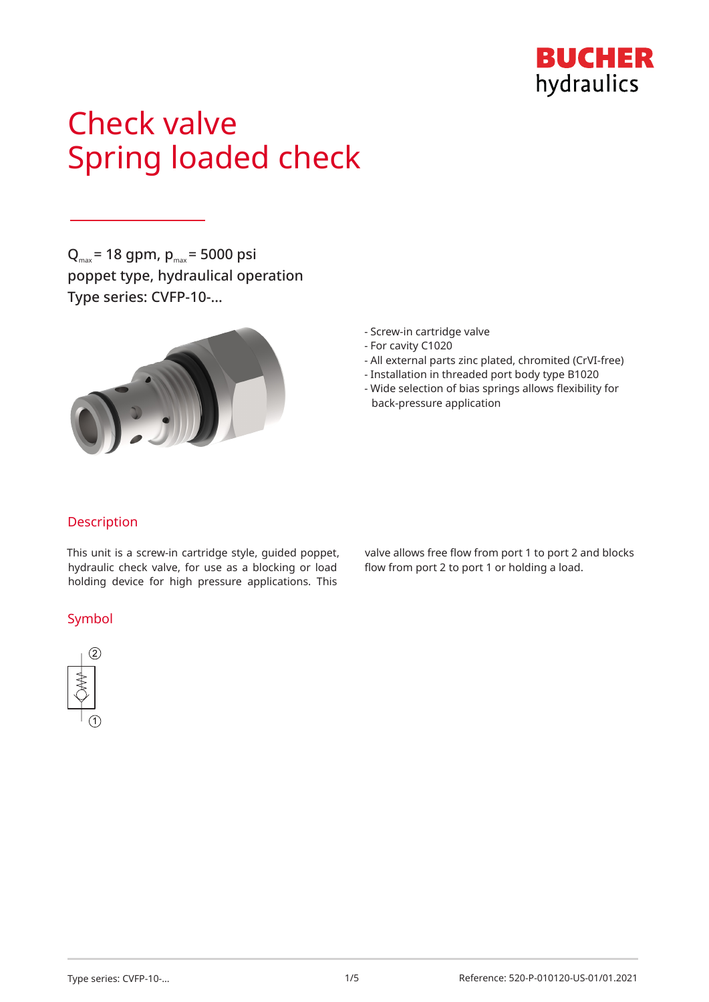

# Check valve Spring loaded check

 $Q_{\text{max}}$  = 18 gpm,  $p_{\text{max}}$  = 5000 psi poppet type, hydraulical operation Type series: CVFP-10-…



- Screw-in cartridge valve
- For cavity C1020
- All external parts zinc plated, chromited (CrVI-free)
- Installation in threaded port body type B1020
- Wide selection of bias springs allows flexibility for back-pressure application

## Description

This unit is a screw-in cartridge style, guided poppet, hydraulic check valve, for use as a blocking or load holding device for high pressure applications. This

### Symbol



valve allows free flow from port 1 to port 2 and blocks flow from port 2 to port 1 or holding a load.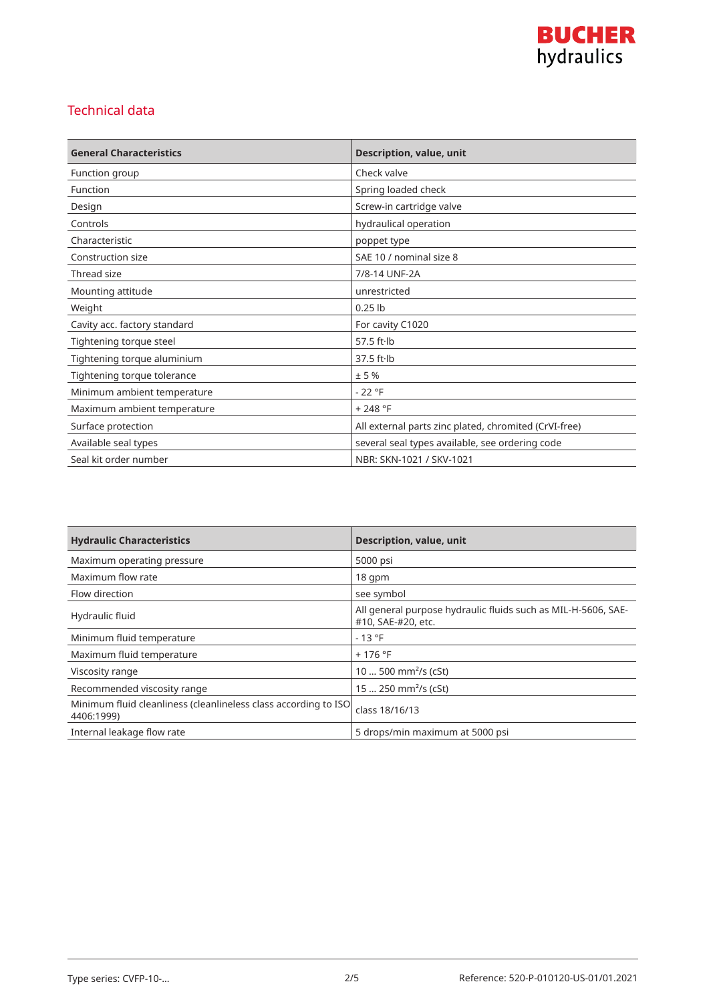

## Technical data

| <b>General Characteristics</b> | Description, value, unit                              |
|--------------------------------|-------------------------------------------------------|
| Function group                 | Check valve                                           |
| Function                       | Spring loaded check                                   |
| Design                         | Screw-in cartridge valve                              |
| Controls                       | hydraulical operation                                 |
| Characteristic                 | poppet type                                           |
| Construction size              | SAE 10 / nominal size 8                               |
| Thread size                    | 7/8-14 UNF-2A                                         |
| Mounting attitude              | unrestricted                                          |
| Weight                         | $0.25$ lb                                             |
| Cavity acc. factory standard   | For cavity C1020                                      |
| Tightening torque steel        | 57.5 $ft·lb$                                          |
| Tightening torque aluminium    | $37.5$ ft $\cdot$ lb                                  |
| Tightening torque tolerance    | ± 5%                                                  |
| Minimum ambient temperature    | $-22 °F$                                              |
| Maximum ambient temperature    | $+248 °F$                                             |
| Surface protection             | All external parts zinc plated, chromited (CrVI-free) |
| Available seal types           | several seal types available, see ordering code       |
| Seal kit order number          | NBR: SKN-1021 / SKV-1021                              |

| <b>Hydraulic Characteristics</b>                                              | <b>Description, value, unit</b>                                                     |
|-------------------------------------------------------------------------------|-------------------------------------------------------------------------------------|
| Maximum operating pressure                                                    | 5000 psi                                                                            |
| Maximum flow rate                                                             | $18$ qpm                                                                            |
| Flow direction                                                                | see symbol                                                                          |
| Hydraulic fluid                                                               | All general purpose hydraulic fluids such as MIL-H-5606, SAE-<br>#10, SAE-#20, etc. |
| Minimum fluid temperature                                                     | $-13 °F$                                                                            |
| Maximum fluid temperature                                                     | $+176$ °F                                                                           |
| Viscosity range                                                               | 10  500 mm <sup>2</sup> /s (cSt)                                                    |
| Recommended viscosity range                                                   | 15  250 mm <sup>2</sup> /s (cSt)                                                    |
| Minimum fluid cleanliness (cleanlineless class according to ISO<br>4406:1999) | class 18/16/13                                                                      |
| Internal leakage flow rate                                                    | 5 drops/min maximum at 5000 psi                                                     |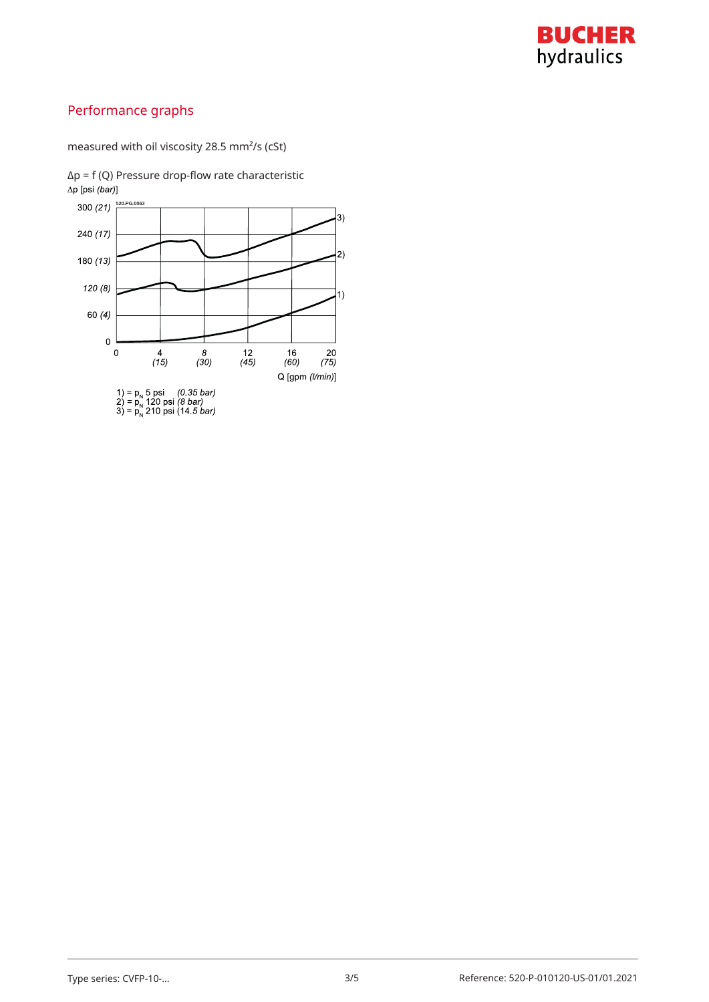

## Performance graphs

measured with oil viscosity 28.5 mm²/s (cSt)

 $Δp = f (Q)$  Pressure drop-flow rate characteristic  $Δp [psi (bar)]$ 

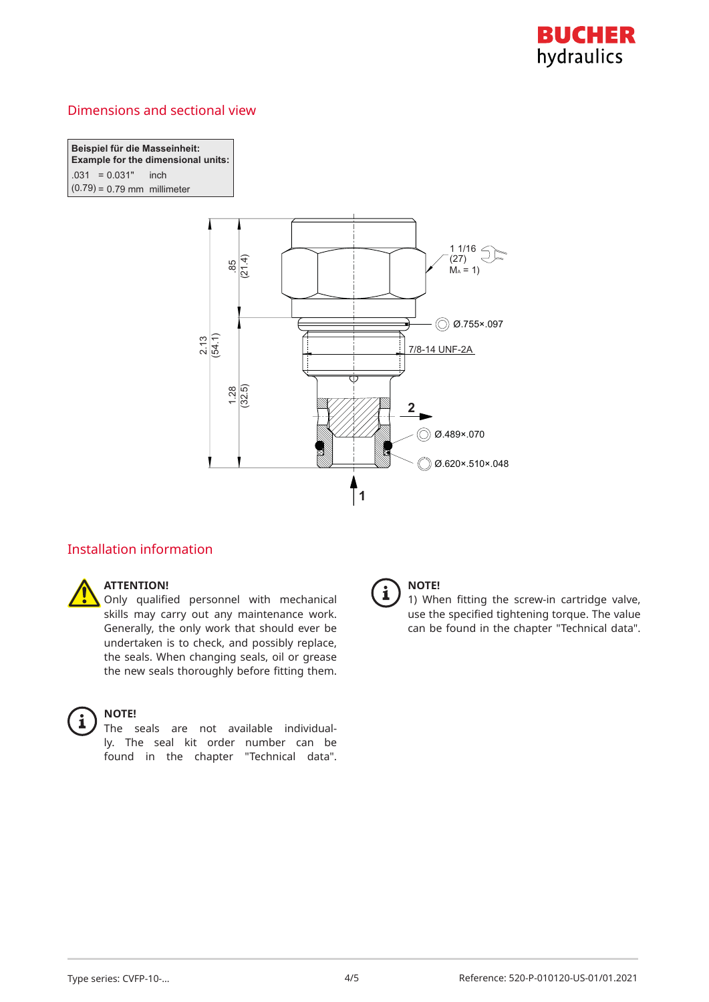

## Dimensions and sectional view

**Beispiel für die Masseinheit: Example for the dimensional units:** *C*( $-0.031$  inch  $(0.79) = 0.79$  mm millimeter



## Installation information



#### **ATTENTION!**

Only qualified personnel with mechanical skills may carry out any maintenance work. Generally, the only work that should ever be undertaken is to check, and possibly replace, the seals. When changing seals, oil or grease the new seals thoroughly before fitting them.



#### **NOTE!**

The seals are not available individually. The seal kit order number can be found in the chapter "Technical data".



#### **NOTE!**

1) When fitting the screw-in cartridge valve, use the specified tightening torque. The value can be found in the chapter "Technical data".